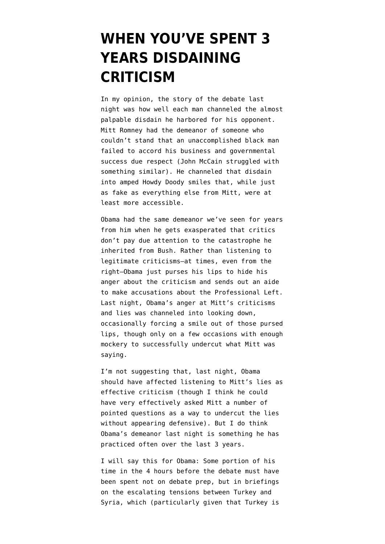## **[WHEN YOU'VE SPENT 3](https://www.emptywheel.net/2012/10/04/when-youve-spent-3-years-disdaining-criticism/) [YEARS DISDAINING](https://www.emptywheel.net/2012/10/04/when-youve-spent-3-years-disdaining-criticism/) [CRITICISM](https://www.emptywheel.net/2012/10/04/when-youve-spent-3-years-disdaining-criticism/)**

In my opinion, the story of the debate last night was how well each man channeled the almost palpable disdain he harbored for his opponent. Mitt Romney had the demeanor of someone who couldn't stand that an unaccomplished black man failed to accord his business and governmental success due respect (John McCain struggled with something similar). He channeled that disdain into amped Howdy Doody smiles that, while just as fake as everything else from Mitt, were at least more accessible.

Obama had the same demeanor we've seen for years from him when he gets exasperated that critics don't pay due attention to the catastrophe he inherited from Bush. Rather than listening to legitimate criticisms–at times, even from the right–Obama just purses his lips to hide his anger about the criticism and sends out an aide to make accusations about the Professional Left. Last night, Obama's anger at Mitt's criticisms and lies was channeled into looking down, occasionally forcing a smile out of those pursed lips, though only on a few occasions with enough mockery to successfully undercut what Mitt was saying.

I'm not suggesting that, last night, Obama should have affected listening to Mitt's lies as effective criticism (though I think he could have very effectively asked Mitt a number of pointed questions as a way to undercut the lies without appearing defensive). But I do think Obama's demeanor last night is something he has practiced often over the last 3 years.

I will say this for Obama: Some portion of his time in the 4 hours before the debate must have been spent not on debate prep, but in briefings on the [escalating tensions](http://www.bbc.co.uk/news/world-middle-east-19822253) between Turkey and Syria, which (particularly given that Turkey is